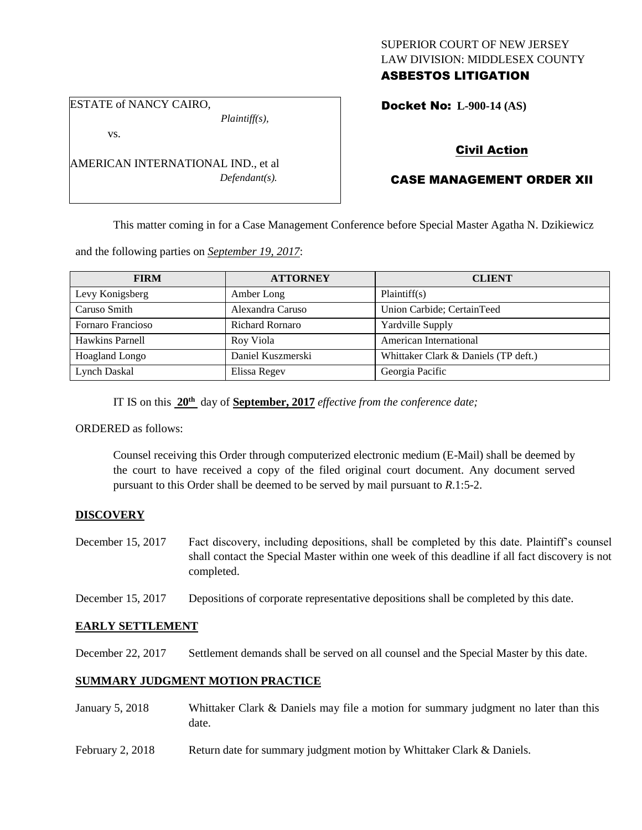### SUPERIOR COURT OF NEW JERSEY LAW DIVISION: MIDDLESEX COUNTY ASBESTOS LITIGATION

ESTATE of NANCY CAIRO,

*Plaintiff(s),*

Docket No: **L-900-14 (AS)** 

vs.

AMERICAN INTERNATIONAL IND., et al *Defendant(s).*

# Civil Action

# CASE MANAGEMENT ORDER XII

This matter coming in for a Case Management Conference before Special Master Agatha N. Dzikiewicz

and the following parties on *September 19, 2017*:

| <b>FIRM</b>       | <b>ATTORNEY</b>        | <b>CLIENT</b>                        |
|-------------------|------------------------|--------------------------------------|
| Levy Konigsberg   | Amber Long             | Plaintiff(s)                         |
| Caruso Smith      | Alexandra Caruso       | Union Carbide; CertainTeed           |
| Fornaro Francioso | <b>Richard Rornaro</b> | Yardville Supply                     |
| Hawkins Parnell   | Roy Viola              | American International               |
| Hoagland Longo    | Daniel Kuszmerski      | Whittaker Clark & Daniels (TP deft.) |
| Lynch Daskal      | Elissa Regev           | Georgia Pacific                      |

IT IS on this **20th** day of **September, 2017** *effective from the conference date;*

ORDERED as follows:

Counsel receiving this Order through computerized electronic medium (E-Mail) shall be deemed by the court to have received a copy of the filed original court document. Any document served pursuant to this Order shall be deemed to be served by mail pursuant to *R*.1:5-2.

## **DISCOVERY**

- December 15, 2017 Fact discovery, including depositions, shall be completed by this date. Plaintiff's counsel shall contact the Special Master within one week of this deadline if all fact discovery is not completed.
- December 15, 2017 Depositions of corporate representative depositions shall be completed by this date.

# **EARLY SETTLEMENT**

December 22, 2017 Settlement demands shall be served on all counsel and the Special Master by this date.

## **SUMMARY JUDGMENT MOTION PRACTICE**

- January 5, 2018 Whittaker Clark & Daniels may file a motion for summary judgment no later than this date.
- February 2, 2018 Return date for summary judgment motion by Whittaker Clark & Daniels.